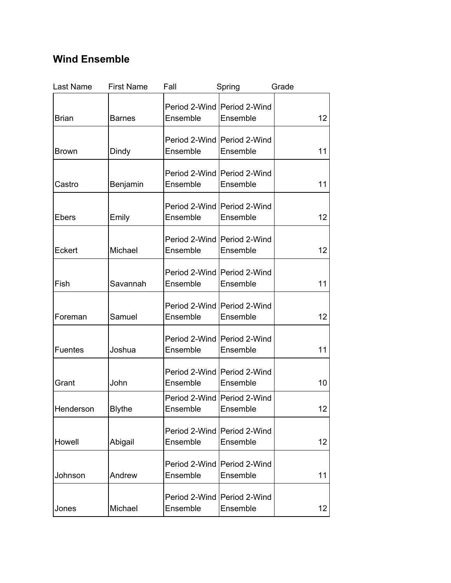## **Wind Ensemble**

| Last Name    | <b>First Name</b> | Fall     | Spring                                    | Grade           |
|--------------|-------------------|----------|-------------------------------------------|-----------------|
| <b>Brian</b> | <b>Barnes</b>     | Ensemble | Period 2-Wind   Period 2-Wind<br>Ensemble | 12              |
| <b>Brown</b> | Dindy             | Ensemble | Period 2-Wind   Period 2-Wind<br>Ensemble | 11              |
| Castro       | Benjamin          | Ensemble | Period 2-Wind   Period 2-Wind<br>Ensemble | 11              |
| <b>Ebers</b> | Emily             | Ensemble | Period 2-Wind   Period 2-Wind<br>Ensemble | 12              |
| Eckert       | Michael           | Ensemble | Period 2-Wind Period 2-Wind<br>Ensemble   | 12              |
| Fish         | Savannah          | Ensemble | Period 2-Wind   Period 2-Wind<br>Ensemble | 11              |
| Foreman      | Samuel            | Ensemble | Period 2-Wind   Period 2-Wind<br>Ensemble | 12              |
| Fuentes      | Joshua            | Ensemble | Period 2-Wind   Period 2-Wind<br>Ensemble | 11              |
| Grant        | John              | Ensemble | Period 2-Wind   Period 2-Wind<br>Ensemble | 10              |
| Henderson    | <b>Blythe</b>     | Ensemble | Period 2-Wind   Period 2-Wind<br>Ensemble | 12 <sub>2</sub> |
| Howell       | Abigail           | Ensemble | Period 2-Wind   Period 2-Wind<br>Ensemble | 12              |
| Johnson      | Andrew            | Ensemble | Period 2-Wind   Period 2-Wind<br>Ensemble | 11              |
| Jones        | Michael           | Ensemble | Period 2-Wind   Period 2-Wind<br>Ensemble | 12              |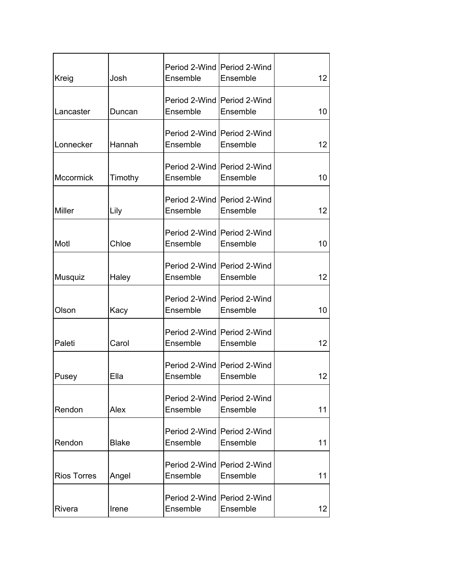| Kreig              | Josh         | Ensemble | Period 2-Wind   Period 2-Wind<br>Ensemble | 12 <sub>2</sub> |
|--------------------|--------------|----------|-------------------------------------------|-----------------|
|                    |              |          |                                           |                 |
| Lancaster          | Duncan       | Ensemble | Period 2-Wind   Period 2-Wind<br>Ensemble | 10              |
| Lonnecker          | Hannah       | Ensemble | Period 2-Wind Period 2-Wind<br>Ensemble   | 12 <sub>2</sub> |
| Mccormick          | Timothy      | Ensemble | Period 2-Wind   Period 2-Wind<br>Ensemble | 10              |
| <b>Miller</b>      | Lily         | Ensemble | Period 2-Wind   Period 2-Wind<br>Ensemble | 12              |
| Motl               | Chloe        | Ensemble | Period 2-Wind   Period 2-Wind<br>Ensemble | 10              |
| Musquiz            | Haley        | Ensemble | Period 2-Wind   Period 2-Wind<br>Ensemble | 12 <sup>2</sup> |
| Olson              | Kacy         | Ensemble | Period 2-Wind   Period 2-Wind<br>Ensemble | 10              |
| Paleti             | Carol        | Ensemble | Period 2-Wind   Period 2-Wind<br>Ensemble | 12              |
| Pusey              | Ella         | Ensemble | Period 2-Wind   Period 2-Wind<br>Ensemble | 12              |
| Rendon             | Alex         | Ensemble | Period 2-Wind Period 2-Wind<br>Ensemble   | 11              |
| Rendon             | <b>Blake</b> | Ensemble | Period 2-Wind   Period 2-Wind<br>Ensemble | 11              |
| <b>Rios Torres</b> | Angel        | Ensemble | Period 2-Wind   Period 2-Wind<br>Ensemble | 11              |
| Rivera             | Irene        | Ensemble | Period 2-Wind   Period 2-Wind<br>Ensemble | 12              |